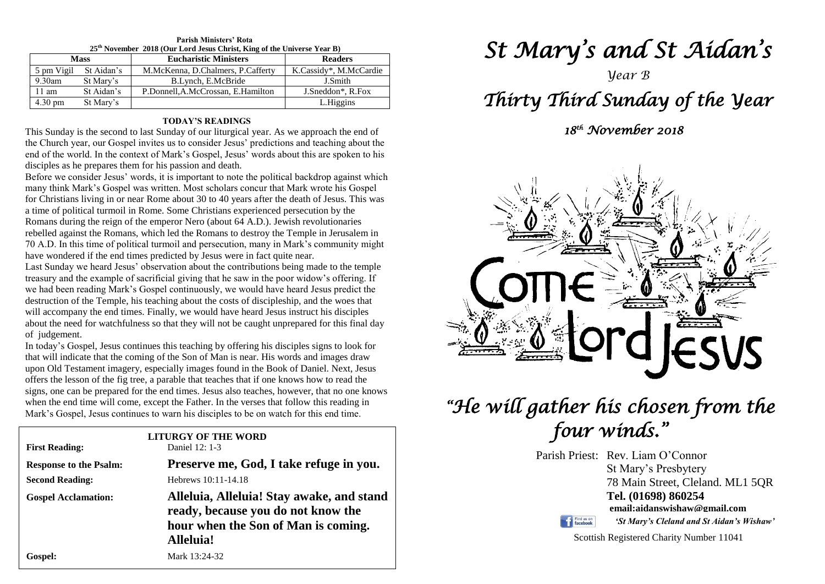| 25 <sup>th</sup> November 2018 (Our Lord Jesus Christ, King of the Universe Year B) |            |                                    |                        |
|-------------------------------------------------------------------------------------|------------|------------------------------------|------------------------|
| <b>Mass</b>                                                                         |            | <b>Eucharistic Ministers</b>       | <b>Readers</b>         |
| 5 pm Vigil                                                                          | St Aidan's | M.McKenna, D.Chalmers, P.Cafferty  | K.Cassidy*, M.McCardie |
| $9.30$ am                                                                           | St Mary's  | B.Lynch, E.McBride                 | J.Smith                |
| $11 \text{ am}$                                                                     | St Aidan's | P.Donnell, A.McCrossan, E.Hamilton | J.Sneddon*, R.Fox      |
| $4.30 \text{ pm}$                                                                   | St Mary's  |                                    | L.Higgins              |

### **Parish Ministers' Rota**

#### **TODAY'S READINGS**

This Sunday is the second to last Sunday of our liturgical year. As we approach the end of the Church year, our Gospel invites us to consider Jesus' predictions and teaching about the end of the world. In the context of Mark's Gospel, Jesus' words about this are spoken to his disciples as he prepares them for his passion and death.

Before we consider Jesus' words, it is important to note the political backdrop against which many think Mark's Gospel was written. Most scholars concur that Mark wrote his Gospel for Christians living in or near Rome about 30 to 40 years after the death of Jesus. This was a time of political turmoil in Rome. Some Christians experienced persecution by the Romans during the reign of the emperor Nero (about 64 A.D.). Jewish revolutionaries rebelled against the Romans, which led the Romans to destroy the Temple in Jerusalem in 70 A.D. In this time of political turmoil and persecution, many in Mark's community might have wondered if the end times predicted by Jesus were in fact quite near.

destruction of the Temple, his teaching about the costs of discipleship, and the woes that<br>will accompany the end times. Finally, we would have heard Jesus instruct his disciples<br>about the need for waterfulness so that the Last Sunday we heard Jesus' observation about the contributions being made to the temple treasury and the example of sacrificial giving that he saw in the poor widow's offering. If we had been reading Mark's Gospel continuously, we would have heard Jesus predict the destruction of the Temple, his teaching about the costs of discipleship, and the woes that about the need for watchfulness so that they will not be caught unprepared for this final day of judgement.

of judgement.<br>In today's Gospel, Jesus continues this teaching by offering his disciples signs to look for upon Old Testament imagery, especially images found in the Book of Daniel. Next, Jest<br>offers the lesson of the fig tree, a parable that teaches that if one knows how to read the when the end time will come, except the Father. In the verses that follow this reading in Mark's Gospel, Jesus continues to warn his disciples to be on watch for this end time. that will indicate that the coming of the Son of Man is near. His words and images draw upon Old Testament imagery, especially images found in the Book of Daniel. Next, Jesus signs, one can be prepared for the end times. Jesus also teaches, however, that no one knows Mark's Gospel, Jesus continues to warn his disciples to be on watch for this end time.

| <b>First Reading:</b>         | <b>LITURGY OF THE WORD</b><br>Daniel 12: 1-3                                                                                        |  |
|-------------------------------|-------------------------------------------------------------------------------------------------------------------------------------|--|
| <b>Response to the Psalm:</b> | Preserve me, God, I take refuge in you.                                                                                             |  |
| <b>Second Reading:</b>        | Hebrews 10:11-14.18                                                                                                                 |  |
| <b>Gospel Acclamation:</b>    | Alleluia, Alleluia! Stay awake, and stand<br>ready, because you do not know the<br>hour when the Son of Man is coming.<br>Alleluia! |  |
| Gospel:                       | Mark 13:24-32                                                                                                                       |  |

# *St Mary's and St Aidan's*

*Year B*

## *Thirty Third Sunday of the Year*

 *18th November 2018* 



## *"He will gather his chosen from the four winds."*

Parish Priest: Rev. Liam O'Connor St Mary's Presbytery 78 Main Street, Cleland. ML1 5QR **Tel. (01698) 860254 email:aidanswishaw@gmail.com**

Find us on

*'St Mary's Cleland and St Aidan's Wishaw'*

Scottish Registered Charity Number 11041